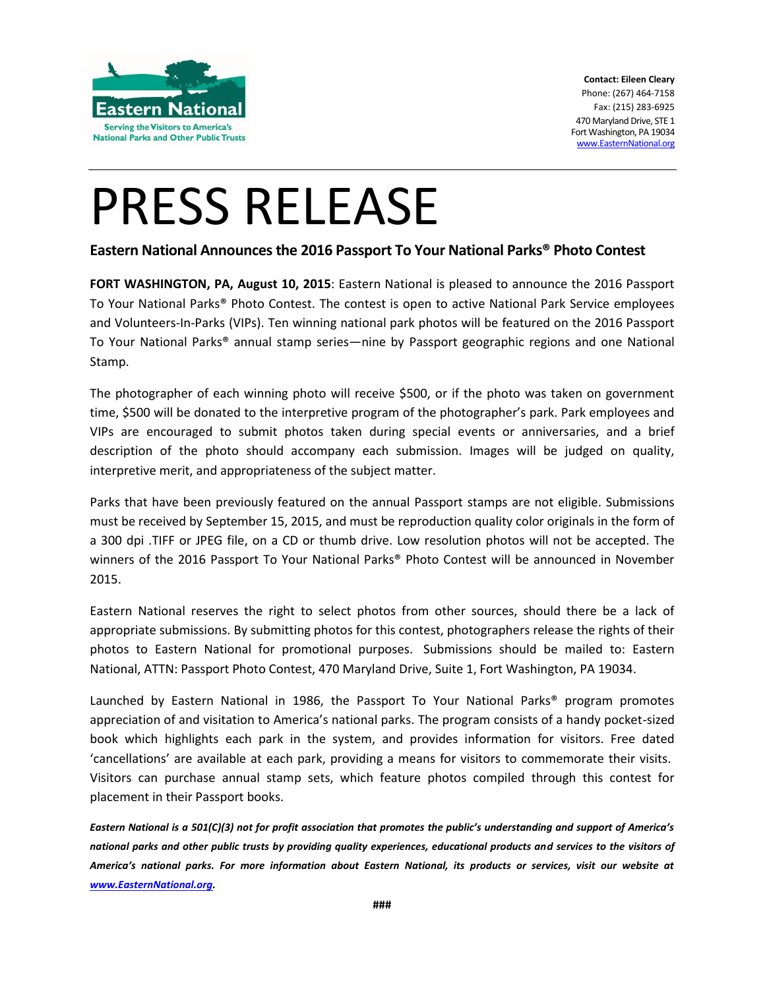

## PRESS RELEASE

### **Eastern National Announces the 2016 Passport To Your National Parks® Photo Contest**

**FORT WASHINGTON, PA, August 10, 2015**: Eastern National is pleased to announce the 2016 Passport To Your National Parks® Photo Contest. The contest is open to active National Park Service employees and Volunteers-In-Parks (VIPs). Ten winning national park photos will be featured on the 2016 Passport To Your National Parks® annual stamp series—nine by Passport geographic regions and one National Stamp.

The photographer of each winning photo will receive \$500, or if the photo was taken on government time, \$500 will be donated to the interpretive program of the photographer's park. Park employees and VIPs are encouraged to submit photos taken during special events or anniversaries, and a brief description of the photo should accompany each submission. Images will be judged on quality, interpretive merit, and appropriateness of the subject matter.

Parks that have been previously featured on the annual Passport stamps are not eligible. Submissions must be received by September 15, 2015, and must be reproduction quality color originals in the form of a 300 dpi .TIFF or JPEG file, on a CD or thumb drive. Low resolution photos will not be accepted. The winners of the 2016 Passport To Your National Parks® Photo Contest will be announced in November 2015.

Eastern National reserves the right to select photos from other sources, should there be a lack of appropriate submissions. By submitting photos for this contest, photographers release the rights of their photos to Eastern National for promotional purposes. Submissions should be mailed to: Eastern National, ATTN: Passport Photo Contest, 470 Maryland Drive, Suite 1, Fort Washington, PA 19034.

Launched by Eastern National in 1986, the Passport To Your National Parks® program promotes appreciation of and visitation to America's national parks. The program consists of a handy pocket-sized book which highlights each park in the system, and provides information for visitors. Free dated 'cancellations' are available at each park, providing a means for visitors to commemorate their visits. Visitors can purchase annual stamp sets, which feature photos compiled through this contest for placement in their Passport books.

*Eastern National is a 501(C)(3) not for profit association that promotes the public's understanding and support of America's national parks and other public trusts by providing quality experiences, educational products and services to the visitors of America's national parks. For more information about Eastern National, its products or services, visit our website at [www.EasternNational.org.](http://www.easternnational.org/)*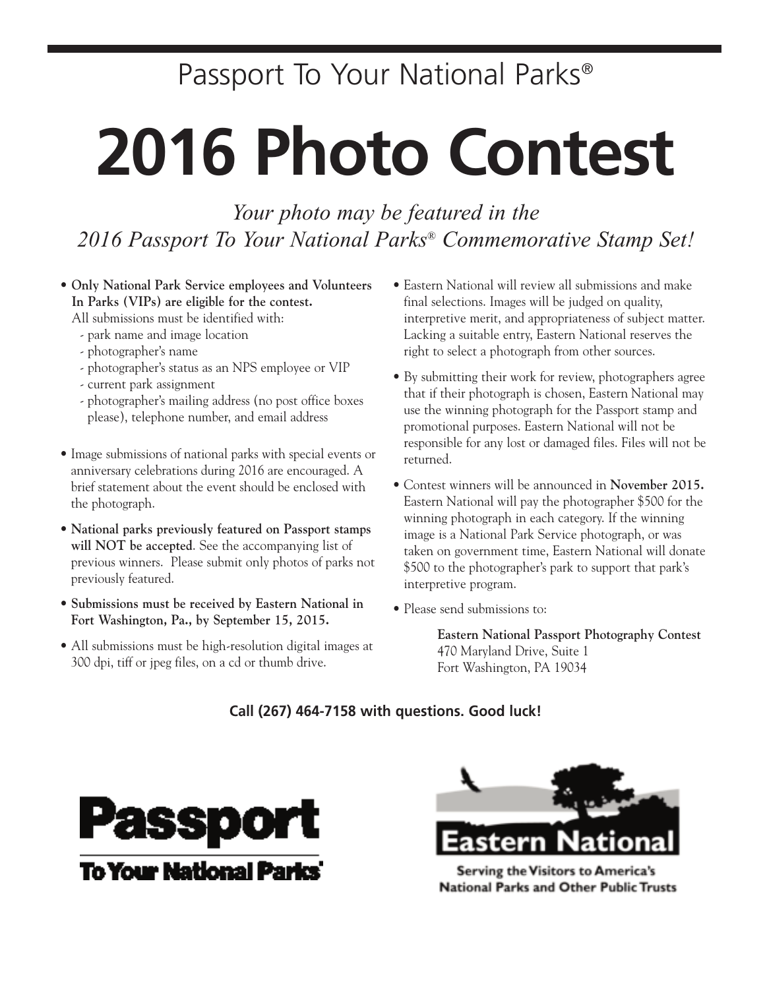## Passport To Your National Parks®

# **2016 Photo Contest**

*Your photo may be featured in the 2016 Passport To Your National Parks® Commemorative Stamp Set!*

**• Only National Park Service employees and Volunteers In Parks (VIPs) are eligible for the contest.**

All submissions must be identified with:

- park name and image location
- photographer's name
- photographer's status as an NPS employee or VIP
- current park assignment
- photographer's mailing address (no post office boxes please), telephone number, and email address
- Image submissions of national parks with special events or anniversary celebrations during 2016 are encouraged. A brief statement about the event should be enclosed with the photograph.
- **National parks previously featured on Passport stamps will NOT be accepted**. See the accompanying list of previous winners. Please submit only photos of parks not previously featured.
- **Submissions must be received by Eastern National in Fort Washington, Pa., by September 15, 2015.**
- All submissions must be high-resolution digital images at 300 dpi, tiff or jpeg files, on a cd or thumb drive.
- Eastern National will review all submissions and make final selections. Images will be judged on quality, interpretive merit, and appropriateness of subject matter. Lacking a suitable entry, Eastern National reserves the right to select a photograph from other sources.
- By submitting their work for review, photographers agree that if their photograph is chosen, Eastern National may use the winning photograph for the Passport stamp and promotional purposes. Eastern National will not be responsible for any lost or damaged files. Files will not be returned.
- Contest winners will be announced in **November 2015.** Eastern National will pay the photographer \$500 for the winning photograph in each category. If the winning image is a National Park Service photograph, or was taken on government time, Eastern National will donate \$500 to the photographer's park to support that park's interpretive program.
- Please send submissions to:

**Eastern National Passport Photography Contest** 470 Maryland Drive, Suite 1 Fort Washington, PA 19034

### **Call (267) 464-7158 with questions. Good luck!**





Serving the Visitors to America's **National Parks and Other Public Trusts**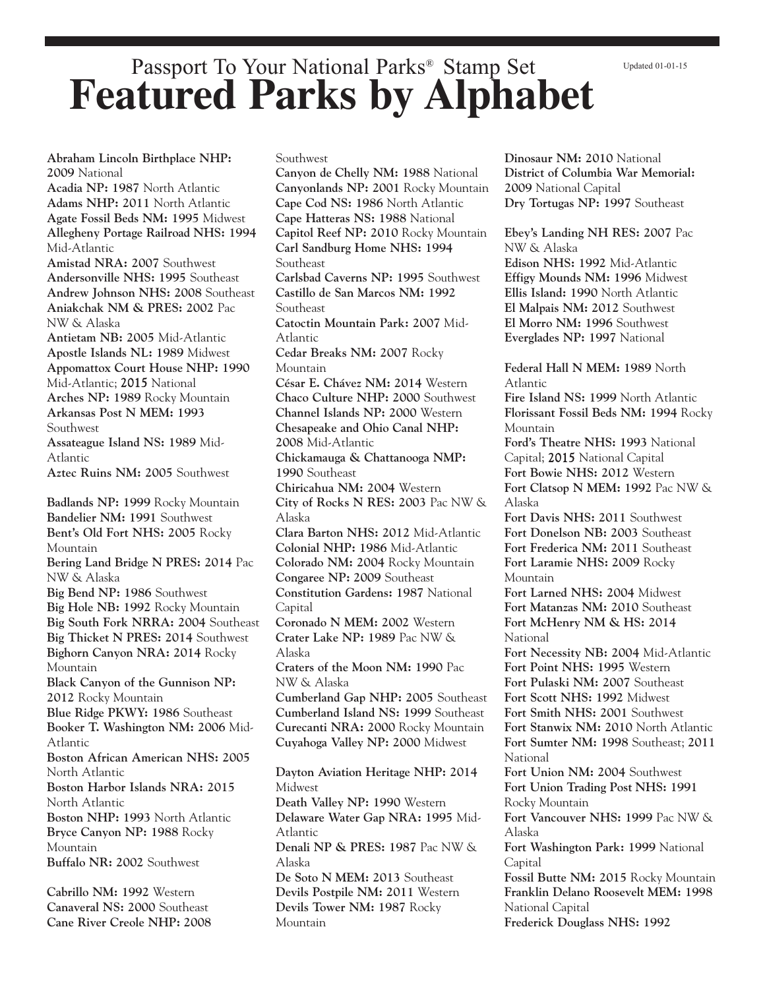#### Updated 01-01-15

### Passport To Your National Parks® Stamp Set **Featured Parks by Alphabet**

**Abraham Lincoln Birthplace NHP: 2009** National **Acadia NP: 1987** North Atlantic **Adams NHP: 2011** North Atlantic **Agate Fossil Beds NM: 1995** Midwest **Allegheny Portage Railroad NHS: 1994** Mid-Atlantic **Amistad NRA: 2007** Southwest **Andersonville NHS: 1995** Southeast **Andrew Johnson NHS: 2008** Southeast **Aniakchak NM & PRES: 2002** Pac NW & Alaska **Antietam NB: 2005** Mid-Atlantic **Apostle Islands NL: 1989** Midwest **Appomattox Court House NHP: 1990** Mid-Atlantic; 2015 National **Arches NP: 1989** Rocky Mountain **Arkansas Post N MEM: 1993** Southwest **Assateague Island NS: 1989** Mid-Atlantic **Aztec Ruins NM: 2005** Southwest **Badlands NP: 1999** Rocky Mountain **Bandelier NM: 1991** Southwest **Bent's Old Fort NHS: 2005** Rocky Mountain **Bering Land Bridge N PRES: 2014** Pac NW & Alaska **Big Bend NP: 1986** Southwest **Big Hole NB: 1992** Rocky Mountain **Big South Fork NRRA: 2004** Southeast **Big Thicket N PRES: 2014** Southwest **Bighorn Canyon NRA: 2014** Rocky Mountain **Black Canyon of the Gunnison NP: 2012** Rocky Mountain **Blue Ridge PKWY: 1986** Southeast **Booker T. Washington NM: 2006** Mid-Atlantic **Boston African American NHS: 2005** North Atlantic **Boston Harbor Islands NRA: 2015** North Atlantic **Boston NHP: 1993** North Atlantic **Bryce Canyon NP: 1988** Rocky Mountain **Buffalo NR: 2002** Southwest

**Cabrillo NM: 1992** Western **Canaveral NS: 2000** Southeast **Cane River Creole NHP: 2008** Southwest **Canyon de Chelly NM: 1988** National **Canyonlands NP: 2001** Rocky Mountain **Cape Cod NS: 1986** North Atlantic **Cape Hatteras NS: 1988** National **Capitol Reef NP: 2010** Rocky Mountain **Carl Sandburg Home NHS: 1994** Southeast **Carlsbad Caverns NP: 1995** Southwest **Castillo de San Marcos NM: 1992** Southeast **Catoctin Mountain Park: 2007** Mid-Atlantic **Cedar Breaks NM: 2007** Rocky Mountain **César E. Chávez NM: 2014** Western **Chaco Culture NHP: 2000** Southwest **Channel Islands NP: 2000** Western **Chesapeake and Ohio Canal NHP: 2008** Mid-Atlantic **Chickamauga & Chattanooga NMP: 1990** Southeast **Chiricahua NM: 2004** Western **City of Rocks N RES: 2003** Pac NW & Alaska **Clara Barton NHS: 2012** Mid-Atlantic **Colonial NHP: 1986** Mid-Atlantic **Colorado NM: 2004** Rocky Mountain **Congaree NP: 2009** Southeast **Constitution Gardens: 1987** National **Capital Coronado N MEM: 2002** Western **Crater Lake NP: 1989** Pac NW & Alaska **Craters of the Moon NM: 1990** Pac NW & Alaska **Cumberland Gap NHP: 2005** Southeast **Cumberland Island NS: 1999** Southeast **Curecanti NRA: 2000** Rocky Mountain **Cuyahoga Valley NP: 2000** Midwest **Dayton Aviation Heritage NHP: 2014** Midwest **Death Valley NP: 1990** Western **Delaware Water Gap NRA: 1995** Mid-Atlantic **Denali NP & PRES: 1987** Pac NW & Alaska

**De Soto N MEM: 2013** Southeast **Devils Postpile NM: 2011** Western **Devils Tower NM: 1987** Rocky Mountain

**Dinosaur NM: 2010** National **District of Columbia War Memorial: 2009** National Capital **Dry Tortugas NP: 1997** Southeast

**Ebey's Landing NH RES: 2007** Pac NW & Alaska **Edison NHS: 1992** Mid-Atlantic **Effigy Mounds NM: 1996** Midwest **Ellis Island: 1990** North Atlantic **El Malpais NM: 2012** Southwest

**El Morro NM: 1996** Southwest **Everglades NP: 1997** National

**Federal Hall N MEM: 1989** North Atlantic **Fire Island NS: 1999** North Atlantic **Florissant Fossil Beds NM: 1994** Rocky Mountain **Ford's Theatre NHS: 1993** National Capital; 2015 National Capital **Fort Bowie NHS: 2012** Western **Fort Clatsop N MEM: 1992** Pac NW & Alaska **Fort Davis NHS: 2011** Southwest **Fort Donelson NB: 2003** Southeast **Fort Frederica NM: 2011** Southeast **Fort Laramie NHS: 2009** Rocky Mountain **Fort Larned NHS: 2004** Midwest **Fort Matanzas NM: 2010** Southeast **Fort McHenry NM & HS: 2014 National Fort Necessity NB: 2004** Mid-Atlantic **Fort Point NHS: 1995** Western **Fort Pulaski NM: 2007** Southeast

**Fort Scott NHS: 1992** Midwest **Fort Smith NHS: 2001** Southwest

**Fort Stanwix NM: 2010** North Atlantic **Fort Sumter NM: 1998** Southeast; **2011** National

**Fort Union NM: 2004** Southwest **Fort Union Trading Post NHS: 1991** Rocky Mountain

**Fort Vancouver NHS: 1999** Pac NW & Alaska

**Fort Washington Park: 1999** National Capital

**Fossil Butte NM: 2015** Rocky Mountain **Franklin Delano Roosevelt MEM: 1998** National Capital **Frederick Douglass NHS: 1992**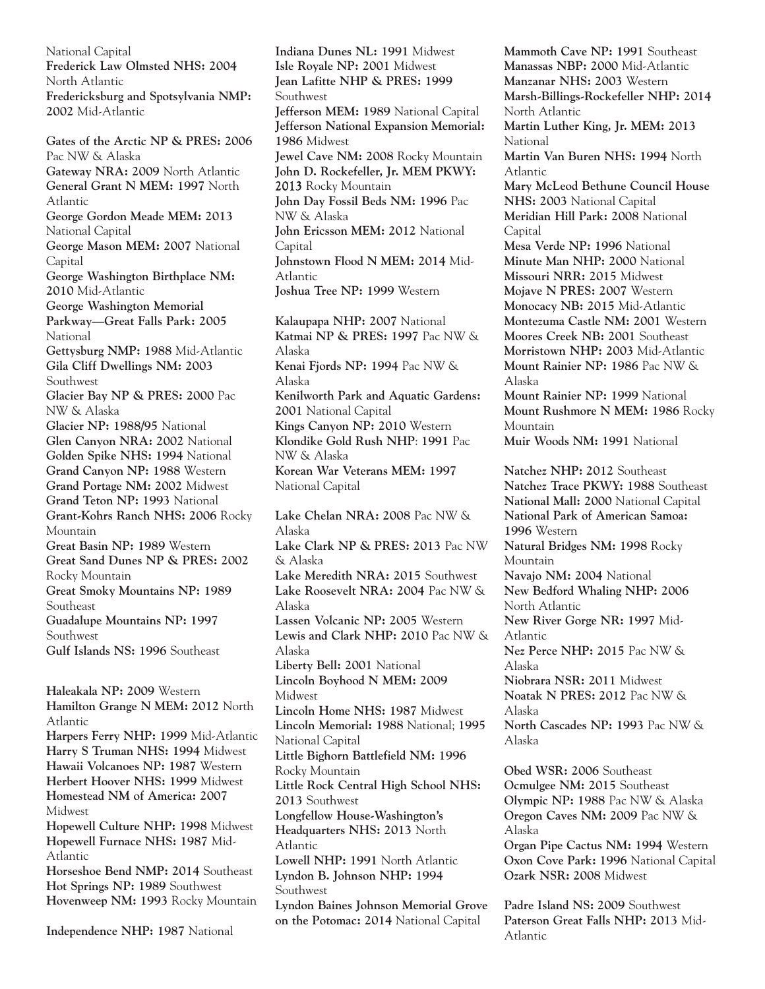National Capital **Frederick Law Olmsted NHS: 2004** North Atlantic **Fredericksburg and Spotsylvania NMP: 2002** Mid-Atlantic

**Gates of the Arctic NP & PRES: 2006** Pac NW & Alaska **Gateway NRA: 2009** North Atlantic **General Grant N MEM: 1997** North Atlantic **George Gordon Meade MEM: 2013** National Capital **George Mason MEM: 2007** National Capital **George Washington Birthplace NM: 2010** Mid-Atlantic **George Washington Memorial Parkway—Great Falls Park: 2005** National **Gettysburg NMP: 1988** Mid-Atlantic **Gila Cliff Dwellings NM: 2003** Southwest **Glacier Bay NP & PRES: 2000** Pac NW & Alaska **Glacier NP: 1988/95** National **Glen Canyon NRA: 2002** National **Golden Spike NHS: 1994** National **Grand Canyon NP: 1988** Western **Grand Portage NM: 2002** Midwest **Grand Teton NP: 1993** National **Grant-Kohrs Ranch NHS: 2006** Rocky Mountain **Great Basin NP: 1989** Western **Great Sand Dunes NP & PRES: 2002** Rocky Mountain **Great Smoky Mountains NP: 1989** Southeast **Guadalupe Mountains NP: 1997** Southwest **Gulf Islands NS: 1996** Southeast **Haleakala NP: 2009** Western

**Hamilton Grange N MEM: 2012** North Atlantic **Harpers Ferry NHP: 1999** Mid-Atlantic **Harry S Truman NHS: 1994** Midwest **Hawaii Volcanoes NP: 1987** Western **Herbert Hoover NHS: 1999** Midwest **Homestead NM of America: 2007** Midwest **Hopewell Culture NHP: 1998** Midwest **Hopewell Furnace NHS: 1987** Mid-Atlantic **Horseshoe Bend NMP: 2014** Southeast **Hot Springs NP: 1989** Southwest **Hovenweep NM: 1993** Rocky Mountain

**Independence NHP: 1987** National

**Indiana Dunes NL: 1991** Midwest **Isle Royale NP: 2001** Midwest **Jean Lafitte NHP & PRES: 1999** Southwest **Jefferson MEM: 1989** National Capital **Jefferson National Expansion Memorial: 1986** Midwest **Jewel Cave NM: 2008** Rocky Mountain **John D. Rockefeller, Jr. MEM PKWY:** 2013 Rocky Mountain **John Day Fossil Beds NM: 1996** Pac NW & Alaska **John Ericsson MEM: 2012** National Capital **Johnstown Flood N MEM: 2014** Mid-Atlantic **Joshua Tree NP: 1999** Western **Kalaupapa NHP: 2007** National **Katmai NP & PRES: 1997** Pac NW & Alaska **Kenai Fjords NP: 1994** Pac NW & Alaska **Kenilworth Park and Aquatic Gardens: 2001** National Capital **Kings Canyon NP: 2010** Western **Klondike Gold Rush NHP**: **1991** Pac NW & Alaska **Korean War Veterans MEM: 1997** National Capital **Lake Chelan NRA: 2008** Pac NW & Alaska **Lake Clark NP & PRES: 2013** Pac NW & Alaska **Lake Meredith NRA: 2015** Southwest **Lake Roosevelt NRA: 2004** Pac NW & Alaska **Lassen Volcanic NP: 2005** Western **Lewis and Clark NHP: 2010** Pac NW & Alaska **Liberty Bell: 2001** National **Lincoln Boyhood N MEM: 2009** Midwest **Lincoln Home NHS: 1987** Midwest **Lincoln Memorial: 1988** National; **1995** National Capital **Little Bighorn Battlefield NM: 1996** Rocky Mountain **Little Rock Central High School NHS: 2013** Southwest **Longfellow House-Washington's Headquarters NHS: 2013** North Atlantic **Lowell NHP: 1991** North Atlantic **Lyndon B. Johnson NHP: 1994** Southwest **Lyndon Baines Johnson Memorial Grove on the Potomac: 2014** National Capital

**Mammoth Cave NP: 1991** Southeast **Manassas NBP: 2000** Mid-Atlantic **Manzanar NHS: 2003** Western **Marsh-Billings-Rockefeller NHP: 2014** North Atlantic **Martin Luther King, Jr. MEM: 2013** National **Martin Van Buren NHS: 1994** North Atlantic **Mary McLeod Bethune Council House NHS: 2003** National Capital **Meridian Hill Park: 2008** National **Capital Mesa Verde NP: 1996** National **Minute Man NHP: 2000** National **Missouri NRR: 2015** Midwest **Mojave N PRES: 2007** Western **Monocacy NB: 2015** Mid-Atlantic **Montezuma Castle NM: 2001** Western **Moores Creek NB: 2001** Southeast **Morristown NHP: 2003** Mid-Atlantic **Mount Rainier NP: 1986** Pac NW & Alaska **Mount Rainier NP: 1999** National **Mount Rushmore N MEM: 1986** Rocky Mountain **Muir Woods NM: 1991** National **Natchez NHP: 2012** Southeast **Natchez Trace PKWY: 1988** Southeast **National Mall: 2000** National Capital **National Park of American Samoa: 1996** Western **Natural Bridges NM: 1998** Rocky Mountain **Navajo NM: 2004** National **New Bedford Whaling NHP: 2006** North Atlantic **New River Gorge NR: 1997** Mid-Atlantic **Nez Perce NHP: 2015** Pac NW & Alaska **Niobrara NSR: 2011** Midwest **Noatak N PRES: 2012** Pac NW & Alaska **North Cascades NP: 1993** Pac NW & Alaska **Obed WSR: 2006** Southeast **Ocmulgee NM: 2015** Southeast **Olympic NP: 1988** Pac NW & Alaska **Oregon Caves NM: 2009** Pac NW & Alaska **Organ Pipe Cactus NM: 1994** Western **Oxon Cove Park: 1996** National Capital **Ozark NSR: 2008** Midwest

**Padre Island NS: 2009** Southwest **Paterson Great Falls NHP: 2013** Mid-Atlantic